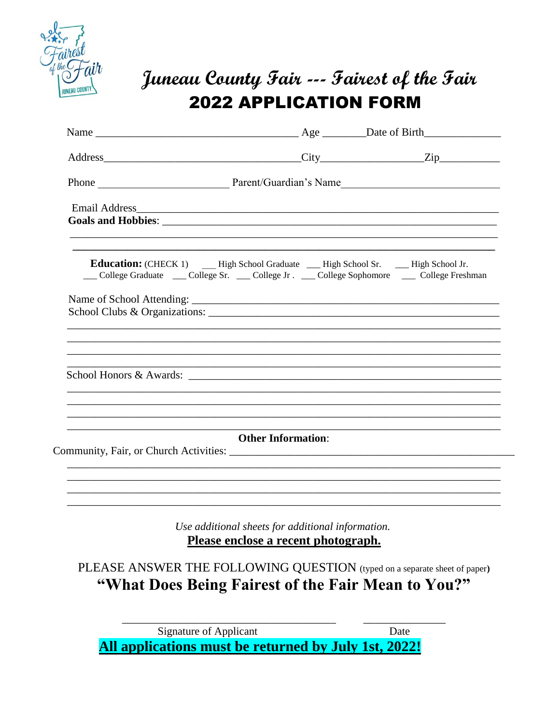

# Juneau County Fair --- Fairest of the Fair **2022 APPLICATION FORM**

| College Graduate College Sr. College Jr. College Sophomore College Freshman |                                                                                          |                                                                           |
|-----------------------------------------------------------------------------|------------------------------------------------------------------------------------------|---------------------------------------------------------------------------|
|                                                                             |                                                                                          |                                                                           |
| School Honors & Awards:                                                     |                                                                                          |                                                                           |
|                                                                             | <b>Other Information:</b>                                                                |                                                                           |
|                                                                             |                                                                                          |                                                                           |
|                                                                             | Use additional sheets for additional information.<br>Please enclose a recent photograph. |                                                                           |
|                                                                             |                                                                                          | PLEASE ANSWER THE FOLLOWING QUESTION (typed on a separate sheet of paper) |

Signature of Applicant Date All applications must be returned by July 1st, 2022!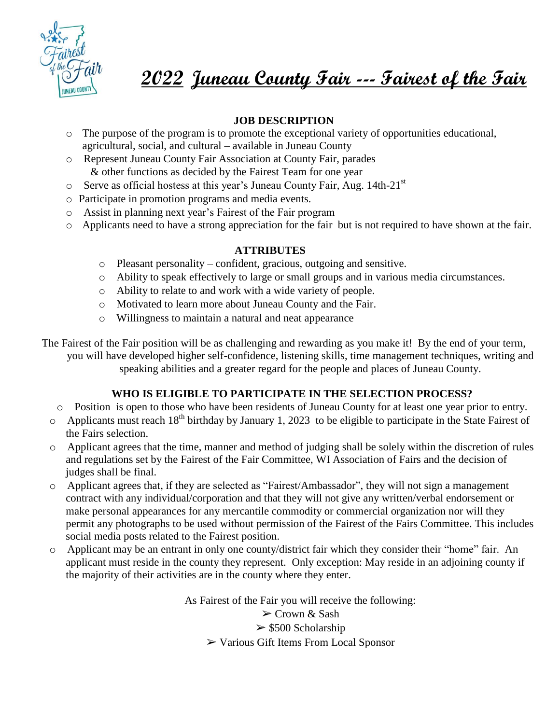

**2022 Juneau County Fair --- Fairest of the Fair**

## **JOB DESCRIPTION**

- o The purpose of the program is to promote the exceptional variety of opportunities educational, agricultural, social, and cultural – available in Juneau County
- o Represent Juneau County Fair Association at County Fair, parades & other functions as decided by the Fairest Team for one year
- $\circ$  Serve as official hostess at this year's Juneau County Fair, Aug. 14th-21<sup>st</sup>
- o Participate in promotion programs and media events.
- o Assist in planning next year's Fairest of the Fair program
- o Applicants need to have a strong appreciation for the fair but is not required to have shown at the fair.

#### **ATTRIBUTES**

- o Pleasant personality confident, gracious, outgoing and sensitive.
- o Ability to speak effectively to large or small groups and in various media circumstances.
- o Ability to relate to and work with a wide variety of people.
- o Motivated to learn more about Juneau County and the Fair.
- o Willingness to maintain a natural and neat appearance

The Fairest of the Fair position will be as challenging and rewarding as you make it! By the end of your term, you will have developed higher self-confidence, listening skills, time management techniques, writing and speaking abilities and a greater regard for the people and places of Juneau County.

### **WHO IS ELIGIBLE TO PARTICIPATE IN THE SELECTION PROCESS?**

- o Position is open to those who have been residents of Juneau County for at least one year prior to entry.
- $\circ$  Applicants must reach 18<sup>th</sup> birthday by January 1, 2023 to be eligible to participate in the State Fairest of the Fairs selection.
- o Applicant agrees that the time, manner and method of judging shall be solely within the discretion of rules and regulations set by the Fairest of the Fair Committee, WI Association of Fairs and the decision of judges shall be final.
- o Applicant agrees that, if they are selected as "Fairest/Ambassador", they will not sign a management contract with any individual/corporation and that they will not give any written/verbal endorsement or make personal appearances for any mercantile commodity or commercial organization nor will they permit any photographs to be used without permission of the Fairest of the Fairs Committee. This includes social media posts related to the Fairest position.
- o Applicant may be an entrant in only one county/district fair which they consider their "home" fair. An applicant must reside in the county they represent. Only exception: May reside in an adjoining county if the majority of their activities are in the county where they enter.

As Fairest of the Fair you will receive the following:

➢ Crown & Sash  $>$  \$500 Scholarship ➢ Various Gift Items From Local Sponsor